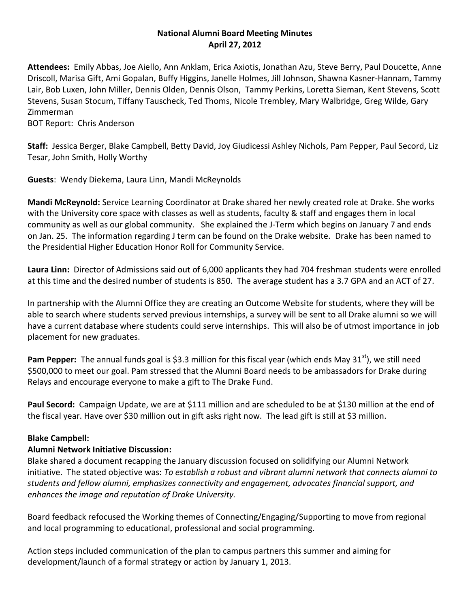# **National Alumni Board Meeting Minutes April 27, 2012**

**Attendees:** Emily Abbas, Joe Aiello, Ann Anklam, Erica Axiotis, Jonathan Azu, Steve Berry, Paul Doucette, Anne Driscoll, Marisa Gift, Ami Gopalan, Buffy Higgins, Janelle Holmes, Jill Johnson, Shawna Kasner-Hannam, Tammy Lair, Bob Luxen, John Miller, Dennis Olden, Dennis Olson, Tammy Perkins, Loretta Sieman, Kent Stevens, Scott Stevens, Susan Stocum, Tiffany Tauscheck, Ted Thoms, Nicole Trembley, Mary Walbridge, Greg Wilde, Gary Zimmerman

BOT Report: Chris Anderson

**Staff:** Jessica Berger, Blake Campbell, Betty David, Joy Giudicessi Ashley Nichols, Pam Pepper, Paul Secord, Liz Tesar, John Smith, Holly Worthy

**Guests**: Wendy Diekema, Laura Linn, Mandi McReynolds

**Mandi McReynold:** Service Learning Coordinator at Drake shared her newly created role at Drake. She works with the University core space with classes as well as students, faculty & staff and engages them in local community as well as our global community. She explained the J-Term which begins on January 7 and ends on Jan. 25. The information regarding J term can be found on the Drake website. Drake has been named to the Presidential Higher Education Honor Roll for Community Service.

**Laura Linn:** Director of Admissions said out of 6,000 applicants they had 704 freshman students were enrolled at this time and the desired number of students is 850. The average student has a 3.7 GPA and an ACT of 27.

In partnership with the Alumni Office they are creating an Outcome Website for students, where they will be able to search where students served previous internships, a survey will be sent to all Drake alumni so we will have a current database where students could serve internships. This will also be of utmost importance in job placement for new graduates.

**Pam Pepper:** The annual funds goal is \$3.3 million for this fiscal year (which ends May 31<sup>st</sup>), we still need \$500,000 to meet our goal. Pam stressed that the Alumni Board needs to be ambassadors for Drake during Relays and encourage everyone to make a gift to The Drake Fund.

**Paul Secord:** Campaign Update, we are at \$111 million and are scheduled to be at \$130 million at the end of the fiscal year. Have over \$30 million out in gift asks right now. The lead gift is still at \$3 million.

# **Blake Campbell:**

# **Alumni Network Initiative Discussion:**

Blake shared a document recapping the January discussion focused on solidifying our Alumni Network initiative. The stated objective was: *To establish a robust and vibrant alumni network that connects alumni to students and fellow alumni, emphasizes connectivity and engagement, advocates financial support, and enhances the image and reputation of Drake University.*

Board feedback refocused the Working themes of Connecting/Engaging/Supporting to move from regional and local programming to educational, professional and social programming.

Action steps included communication of the plan to campus partners this summer and aiming for development/launch of a formal strategy or action by January 1, 2013.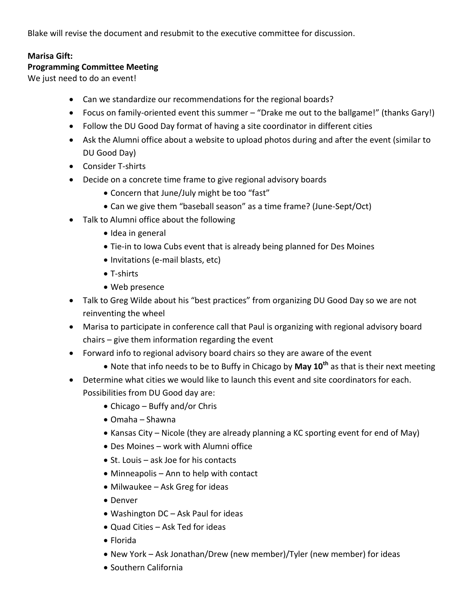Blake will revise the document and resubmit to the executive committee for discussion.

# **Marisa Gift:**

#### **Programming Committee Meeting**

We just need to do an event!

- Can we standardize our recommendations for the regional boards?
- Focus on family-oriented event this summer "Drake me out to the ballgame!" (thanks Gary!)
- Follow the DU Good Day format of having a site coordinator in different cities
- Ask the Alumni office about a website to upload photos during and after the event (similar to DU Good Day)
- Consider T-shirts
- Decide on a concrete time frame to give regional advisory boards
	- Concern that June/July might be too "fast"
	- Can we give them "baseball season" as a time frame? (June-Sept/Oct)
- Talk to Alumni office about the following
	- Idea in general
	- Tie-in to Iowa Cubs event that is already being planned for Des Moines
	- Invitations (e-mail blasts, etc)
	- T-shirts
	- Web presence
- Talk to Greg Wilde about his "best practices" from organizing DU Good Day so we are not reinventing the wheel
- Marisa to participate in conference call that Paul is organizing with regional advisory board chairs – give them information regarding the event
- Forward info to regional advisory board chairs so they are aware of the event
	- Note that info needs to be to Buffy in Chicago by **May 10th** as that is their next meeting
- Determine what cities we would like to launch this event and site coordinators for each. Possibilities from DU Good day are:
	- Chicago Buffy and/or Chris
	- Omaha Shawna
	- Kansas City Nicole (they are already planning a KC sporting event for end of May)
	- Des Moines work with Alumni office
	- St. Louis ask Joe for his contacts
	- Minneapolis Ann to help with contact
	- Milwaukee Ask Greg for ideas
	- Denver
	- Washington DC Ask Paul for ideas
	- Quad Cities Ask Ted for ideas
	- Florida
	- New York Ask Jonathan/Drew (new member)/Tyler (new member) for ideas
	- Southern California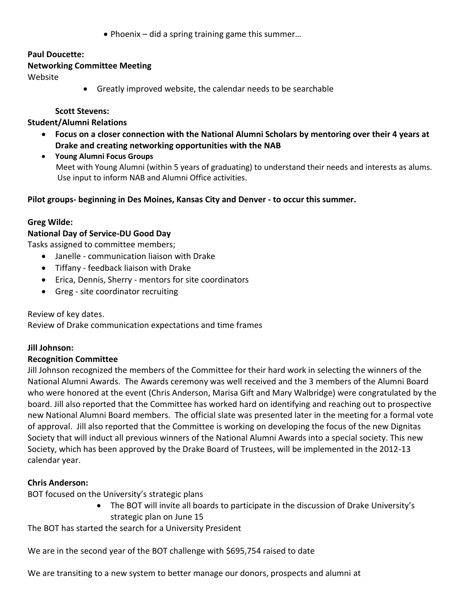● Phoenix – did a spring training game this summer...

# **Paul Doucette:**

#### **Networking Committee Meeting**

Website

Greatly improved website, the calendar needs to be searchable

## **Scott Stevens:**

# **Student/Alumni Relations**

- **Focus on a closer connection with the National Alumni Scholars by mentoring over their 4 years at Drake and creating networking opportunities with the NAB**
- **Young Alumni Focus Groups** Meet with Young Alumni (within 5 years of graduating) to understand their needs and interests as alums. Use input to inform NAB and Alumni Office activities.

**Pilot groups- beginning in Des Moines, Kansas City and Denver - to occur this summer.**

# **Greg Wilde:**

# **National Day of Service-DU Good Day**

Tasks assigned to committee members;

- Janelle communication liaison with Drake
- Tiffany feedback liaison with Drake
- Erica, Dennis, Sherry mentors for site coordinators
- Greg site coordinator recruiting

Review of key dates.

Review of Drake communication expectations and time frames

# **Jill Johnson:**

# **Recognition Committee**

Jill Johnson recognized the members of the Committee for their hard work in selecting the winners of the National Alumni Awards. The Awards ceremony was well received and the 3 members of the Alumni Board who were honored at the event (Chris Anderson, Marisa Gift and Mary Walbridge) were congratulated by the board. Jill also reported that the Committee has worked hard on identifying and reaching out to prospective new National Alumni Board members. The official slate was presented later in the meeting for a formal vote of approval. Jill also reported that the Committee is working on developing the focus of the new Dignitas Society that will induct all previous winners of the National Alumni Awards into a special society. This new Society, which has been approved by the Drake Board of Trustees, will be implemented in the 2012-13 calendar year.

# **Chris Anderson:**

BOT focused on the University's strategic plans

 The BOT will invite all boards to participate in the discussion of Drake University's strategic plan on June 15

The BOT has started the search for a University President

We are in the second year of the BOT challenge with \$695,754 raised to date

We are transiting to a new system to better manage our donors, prospects and alumni at